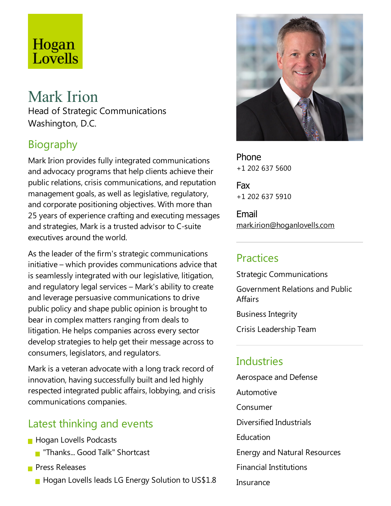# Hogan<br>Lovells

# Mark Irion

Head of Strategic Communications Washington, D.C.

# Biography

Mark Irion provides fully integrated communications and advocacy programs that help clients achieve their public relations, crisis communications, and reputation management goals, as well as legislative, regulatory, and corporate positioning objectives. With more than 25 years of experience crafting and executing messages and strategies, Mark is a trusted advisor to C-suite executives around the world.

As the leader of the firm's strategic communications initiative – which provides communications advice that is seamlessly integrated with our legislative, litigation, and regulatory legal services – Mark's ability to create and leverage persuasive communications to drive public policy and shape public opinion is brought to bear in complex matters ranging from deals to litigation. He helps companies across every sector develop strategies to help get their message across to consumers, legislators, and regulators.

Mark is a veteran advocate with a long track record of innovation, having successfully built and led highly respected integrated public affairs, lobbying, and crisis communications companies.

#### Latest thinking and events

- **Hogan Lovells Podcasts** 
	- **T** "Thanks... Good Talk" Shortcast
- **Press Releases** 
	- **Hogan Lovells leads LG Energy Solution to US\$1.8**



Phone +1 202 637 5600

Fax +1 202 637 5910

Email mark.irion@hoganlovells.com

### Practices

Strategic Communications Government Relations and Public **Affairs** 

Business Integrity

Crisis Leadership Team

## **Industries**

Aerospace and Defense Automotive Consumer Diversified Industrials **Education** Energy and Natural Resources Financial Institutions Insurance